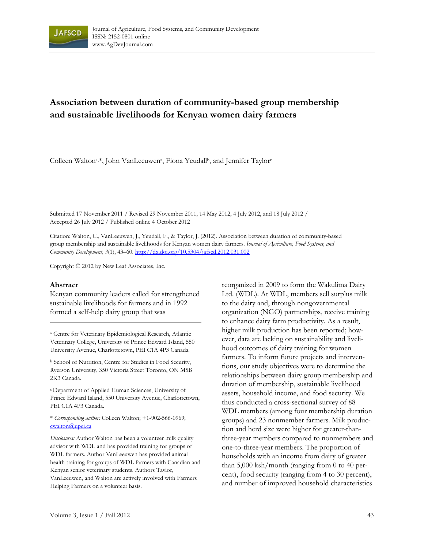

# **Association between duration of community-based group membership and sustainable livelihoods for Kenyan women dairy farmers**

Colleen Walton<sup>a,\*</sup>, John VanLeeuwen<sup>a</sup>, Fiona Yeudall<sup>b</sup>, and Jennifer Taylor<sup>c</sup>

Submitted 17 November 2011 / Revised 29 November 2011, 14 May 2012, 4 July 2012, and 18 July 2012 / Accepted 26 July 2012 / Published online 4 October 2012

Citation: Walton, C., VanLeeuwen, J., Yeudall, F., & Taylor, J. (2012). Association between duration of community-based group membership and sustainable livelihoods for Kenyan women dairy farmers. *Journal of Agriculture, Food Systems, and Community Development, 3*(1), 43–60. http://dx.doi.org/10.5304/jafscd.2012.031.002

Copyright © 2012 by New Leaf Associates, Inc.

#### **Abstract**

Kenyan community leaders called for strengthened sustainable livelihoods for farmers and in 1992 formed a self-help dairy group that was

a Centre for Veterinary Epidemiological Research, Atlantic Veterinary College, University of Prince Edward Island, 550 University Avenue, Charlottetown, PEI C1A 4P3 Canada.

b School of Nutrition, Centre for Studies in Food Security, Ryerson University, 350 Victoria Street Toronto, ON M5B 2K3 Canada.

c Department of Applied Human Sciences, University of Prince Edward Island, 550 University Avenue, Charlottetown, PEI C1A 4P3 Canada.

#### \* *Corresponding author:* Colleen Walton; +1-902-566-0969; cwalton@upei.ca

*Disclosures:* Author Walton has been a volunteer milk quality advisor with WDL and has provided training for groups of WDL farmers. Author VanLeeuwen has provided animal health training for groups of WDL farmers with Canadian and Kenyan senior veterinary students. Authors Taylor, VanLeeuwen, and Walton are actively involved with Farmers Helping Farmers on a volunteer basis.

reorganized in 2009 to form the Wakulima Dairy Ltd. (WDL). At WDL, members sell surplus milk to the dairy and, through nongovernmental organization (NGO) partnerships, receive training to enhance dairy farm productivity. As a result, higher milk production has been reported; however, data are lacking on sustainability and livelihood outcomes of dairy training for women farmers. To inform future projects and interventions, our study objectives were to determine the relationships between dairy group membership and duration of membership, sustainable livelihood assets, household income, and food security. We thus conducted a cross-sectional survey of 88 WDL members (among four membership duration groups) and 23 nonmember farmers. Milk production and herd size were higher for greater-thanthree-year members compared to nonmembers and one-to-three-year members. The proportion of households with an income from dairy of greater than 5,000 ksh/month (ranging from 0 to 40 percent), food security (ranging from 4 to 30 percent), and number of improved household characteristics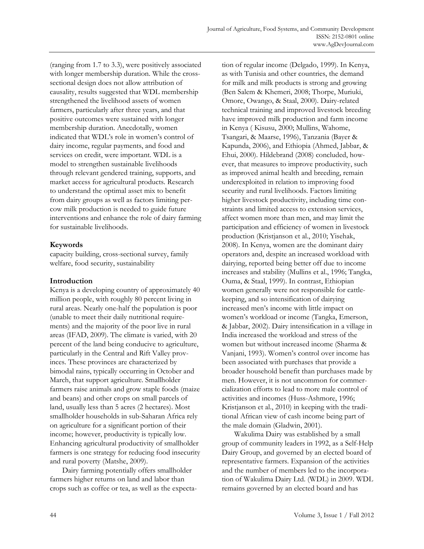(ranging from 1.7 to 3.3), were positively associated with longer membership duration. While the crosssectional design does not allow attribution of causality, results suggested that WDL membership strengthened the livelihood assets of women farmers, particularly after three years, and that positive outcomes were sustained with longer membership duration. Anecdotally, women indicated that WDL's role in women's control of dairy income, regular payments, and food and services on credit, were important. WDL is a model to strengthen sustainable livelihoods through relevant gendered training, supports, and market access for agricultural products. Research to understand the optimal asset mix to benefit from dairy groups as well as factors limiting percow milk production is needed to guide future interventions and enhance the role of dairy farming for sustainable livelihoods.

## **Keywords**

capacity building, cross-sectional survey, family welfare, food security, sustainability

# **Introduction**

Kenya is a developing country of approximately 40 million people, with roughly 80 percent living in rural areas. Nearly one-half the population is poor (unable to meet their daily nutritional requirements) and the majority of the poor live in rural areas (IFAD, 2009). The climate is varied, with 20 percent of the land being conducive to agriculture, particularly in the Central and Rift Valley provinces. These provinces are characterized by bimodal rains, typically occurring in October and March, that support agriculture. Smallholder farmers raise animals and grow staple foods (maize and beans) and other crops on small parcels of land, usually less than 5 acres (2 hectares). Most smallholder households in sub-Saharan Africa rely on agriculture for a significant portion of their income; however, productivity is typically low. Enhancing agricultural productivity of smallholder farmers is one strategy for reducing food insecurity and rural poverty (Matshe, 2009).

 Dairy farming potentially offers smallholder farmers higher returns on land and labor than crops such as coffee or tea, as well as the expectation of regular income (Delgado, 1999). In Kenya, as with Tunisia and other countries, the demand for milk and milk products is strong and growing (Ben Salem & Khemeri, 2008; Thorpe, Muriuki, Omore, Owango, & Staal, 2000). Dairy-related technical training and improved livestock breeding have improved milk production and farm income in Kenya ( Kisusu, 2000; Mullins, Wahome, Tsangari, & Maarse, 1996), Tanzania (Bayer & Kapunda, 2006), and Ethiopia (Ahmed, Jabbar, & Ehui, 2000). Hildebrand (2008) concluded, however, that measures to improve productivity, such as improved animal health and breeding, remain underexploited in relation to improving food security and rural livelihoods. Factors limiting higher livestock productivity, including time constraints and limited access to extension services, affect women more than men, and may limit the participation and efficiency of women in livestock production (Kristjanson et al., 2010; Yisehak, 2008). In Kenya, women are the dominant dairy operators and, despite an increased workload with dairying, reported being better off due to income increases and stability (Mullins et al., 1996; Tangka, Ouma, & Staal, 1999). In contrast, Ethiopian women generally were not responsible for cattlekeeping, and so intensification of dairying increased men's income with little impact on women's workload or income (Tangka, Emerson, & Jabbar, 2002). Dairy intensification in a village in India increased the workload and stress of the women but without increased income (Sharma & Vanjani, 1993). Women's control over income has been associated with purchases that provide a broader household benefit than purchases made by men. However, it is not uncommon for commercialization efforts to lead to more male control of activities and incomes (Huss-Ashmore, 1996; Kristjanson et al., 2010) in keeping with the traditional African view of cash income being part of the male domain (Gladwin, 2001).

 Wakulima Dairy was established by a small group of community leaders in 1992, as a Self-Help Dairy Group, and governed by an elected board of representative farmers. Expansion of the activities and the number of members led to the incorporation of Wakulima Dairy Ltd. (WDL) in 2009. WDL remains governed by an elected board and has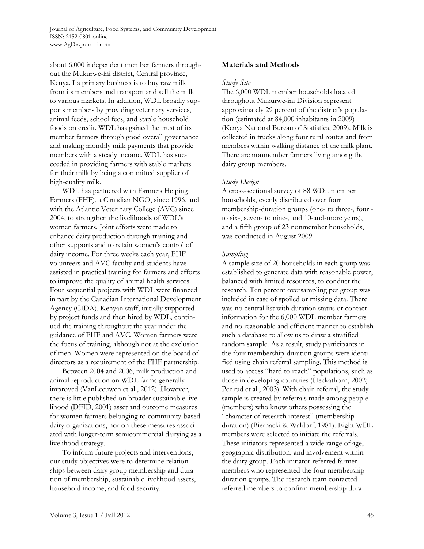about 6,000 independent member farmers throughout the Mukurwe-ini district, Central province, Kenya. Its primary business is to buy raw milk from its members and transport and sell the milk to various markets. In addition, WDL broadly supports members by providing veterinary services, animal feeds, school fees, and staple household foods on credit. WDL has gained the trust of its member farmers through good overall governance and making monthly milk payments that provide members with a steady income. WDL has succeeded in providing farmers with stable markets for their milk by being a committed supplier of high-quality milk.

 WDL has partnered with Farmers Helping Farmers (FHF), a Canadian NGO, since 1996, and with the Atlantic Veterinary College (AVC) since 2004, to strengthen the livelihoods of WDL's women farmers. Joint efforts were made to enhance dairy production through training and other supports and to retain women's control of dairy income. For three weeks each year, FHF volunteers and AVC faculty and students have assisted in practical training for farmers and efforts to improve the quality of animal health services. Four sequential projects with WDL were financed in part by the Canadian International Development Agency (CIDA). Kenyan staff, initially supported by project funds and then hired by WDL, continued the training throughout the year under the guidance of FHF and AVC. Women farmers were the focus of training, although not at the exclusion of men. Women were represented on the board of directors as a requirement of the FHF partnership.

 Between 2004 and 2006, milk production and animal reproduction on WDL farms generally improved (VanLeeuwen et al., 2012). However, there is little published on broader sustainable livelihood (DFID, 2001) asset and outcome measures for women farmers belonging to community-based dairy organizations, nor on these measures associated with longer-term semicommercial dairying as a livelihood strategy.

 To inform future projects and interventions, our study objectives were to determine relationships between dairy group membership and duration of membership, sustainable livelihood assets, household income, and food security.

## **Materials and Methods**

#### *Study Site*

The 6,000 WDL member households located throughout Mukurwe-ini Division represent approximately 29 percent of the district's population (estimated at 84,000 inhabitants in 2009) (Kenya National Bureau of Statistics, 2009). Milk is collected in trucks along four rural routes and from members within walking distance of the milk plant. There are nonmember farmers living among the dairy group members.

#### *Study Design*

A cross-sectional survey of 88 WDL member households, evenly distributed over four membership-duration groups (one- to three-, four to six-, seven- to nine-, and 10-and-more years), and a fifth group of 23 nonmember households, was conducted in August 2009.

#### *Sampling*

A sample size of 20 households in each group was established to generate data with reasonable power, balanced with limited resources, to conduct the research. Ten percent oversampling per group was included in case of spoiled or missing data. There was no central list with duration status or contact information for the 6,000 WDL member farmers and no reasonable and efficient manner to establish such a database to allow us to draw a stratified random sample. As a result, study participants in the four membership-duration groups were identified using chain referral sampling. This method is used to access "hard to reach" populations, such as those in developing countries (Heckathorn, 2002; Penrod et al., 2003). With chain referral, the study sample is created by referrals made among people (members) who know others possessing the "character of research interest" (membershipduration) (Biernacki & Waldorf, 1981). Eight WDL members were selected to initiate the referrals. These initiators represented a wide range of age, geographic distribution, and involvement within the dairy group. Each initiator referred farmer members who represented the four membershipduration groups. The research team contacted referred members to confirm membership dura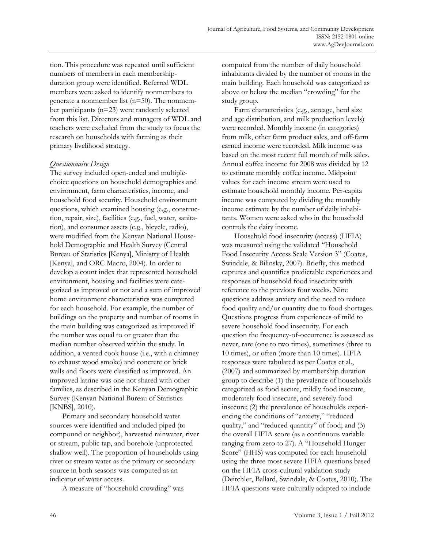tion. This procedure was repeated until sufficient numbers of members in each membershipduration group were identified. Referred WDL members were asked to identify nonmembers to generate a nonmember list (n=50). The nonmember participants (n=23) were randomly selected from this list. Directors and managers of WDL and teachers were excluded from the study to focus the research on households with farming as their primary livelihood strategy.

#### *Questionnaire Design*

The survey included open-ended and multiplechoice questions on household demographics and environment, farm characteristics, income, and household food security. Household environment questions, which examined housing (e.g., construction, repair, size), facilities (e.g., fuel, water, sanitation), and consumer assets (e.g., bicycle, radio), were modified from the Kenyan National Household Demographic and Health Survey (Central Bureau of Statistics [Kenya], Ministry of Health [Kenya], and ORC Macro, 2004). In order to develop a count index that represented household environment, housing and facilities were categorized as improved or not and a sum of improved home environment characteristics was computed for each household. For example, the number of buildings on the property and number of rooms in the main building was categorized as improved if the number was equal to or greater than the median number observed within the study. In addition, a vented cook house (i.e., with a chimney to exhaust wood smoke) and concrete or brick walls and floors were classified as improved. An improved latrine was one not shared with other families, as described in the Kenyan Demographic Survey (Kenyan National Bureau of Statistics [KNBS], 2010).

 Primary and secondary household water sources were identified and included piped (to compound or neighbor), harvested rainwater, river or stream, public tap, and borehole (unprotected shallow well). The proportion of households using river or stream water as the primary or secondary source in both seasons was computed as an indicator of water access.

A measure of "household crowding" was

computed from the number of daily household inhabitants divided by the number of rooms in the main building. Each household was categorized as above or below the median "crowding" for the study group.

 Farm characteristics (e.g., acreage, herd size and age distribution, and milk production levels) were recorded. Monthly income (in categories) from milk, other farm product sales, and off-farm earned income were recorded. Milk income was based on the most recent full month of milk sales. Annual coffee income for 2008 was divided by 12 to estimate monthly coffee income. Midpoint values for each income stream were used to estimate household monthly income. Per-capita income was computed by dividing the monthly income estimate by the number of daily inhabitants. Women were asked who in the household controls the dairy income.

 Household food insecurity (access) (HFIA) was measured using the validated "Household Food Insecurity Access Scale Version 3" (Coates, Swindale, & Bilinsky, 2007). Briefly, this method captures and quantifies predictable experiences and responses of household food insecurity with reference to the previous four weeks. Nine questions address anxiety and the need to reduce food quality and/or quantity due to food shortages. Questions progress from experiences of mild to severe household food insecurity. For each question the frequency-of-occurrence is assessed as never, rare (one to two times), sometimes (three to 10 times), or often (more than 10 times). HFIA responses were tabulated as per Coates et al., (2007) and summarized by membership duration group to describe (1) the prevalence of households categorized as food secure, mildly food insecure, moderately food insecure, and severely food insecure; (2) the prevalence of households experiencing the conditions of "anxiety," "reduced quality," and "reduced quantity" of food; and (3) the overall HFIA score (as a continuous variable ranging from zero to 27). A "Household Hunger Score" (HHS) was computed for each household using the three most severe HFIA questions based on the HFIA cross-cultural validation study (Deitchler, Ballard, Swindale, & Coates, 2010). The HFIA questions were culturally adapted to include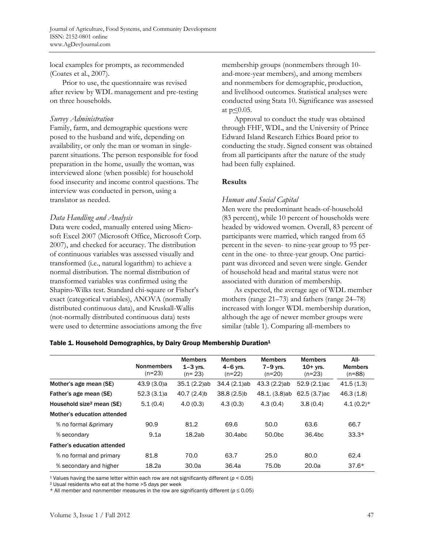local examples for prompts, as recommended (Coates et al., 2007).

 Prior to use, the questionnaire was revised after review by WDL management and pre-testing on three households.

#### *Survey Administration*

Family, farm, and demographic questions were posed to the husband and wife, depending on availability, or only the man or woman in singleparent situations. The person responsible for food preparation in the home, usually the woman, was interviewed alone (when possible) for household food insecurity and income control questions. The interview was conducted in person, using a translator as needed.

#### *Data Handling and Analysis*

Data were coded, manually entered using Microsoft Excel 2007 (Microsoft Office, Microsoft Corp. 2007), and checked for accuracy. The distribution of continuous variables was assessed visually and transformed (i.e., natural logarithm) to achieve a normal distribution. The normal distribution of transformed variables was confirmed using the Shapiro-Wilks test. Standard chi-square or Fisher's exact (categorical variables), ANOVA (normally distributed continuous data), and Kruskall-Wallis (not-normally distributed continuous data) tests were used to determine associations among the five membership groups (nonmembers through 10 and-more-year members), and among members and nonmembers for demographic, production, and livelihood outcomes. Statistical analyses were conducted using Stata 10. Significance was assessed at  $p \leq 0.05$ .

 Approval to conduct the study was obtained through FHF, WDL, and the University of Prince Edward Island Research Ethics Board prior to conducting the study. Signed consent was obtained from all participants after the nature of the study had been fully explained.

## **Results**

## *Human and Social Capital*

Men were the predominant heads-of-household (83 percent), while 10 percent of households were headed by widowed women. Overall, 83 percent of participants were married, which ranged from 65 percent in the seven- to nine-year group to 95 percent in the one- to three-year group. One participant was divorced and seven were single. Gender of household head and marital status were not associated with duration of membership.

 As expected, the average age of WDL member mothers (range 21–73) and fathers (range 24–78) increased with longer WDL membership duration, although the age of newer member groups were similar (table 1). Comparing all-members to

#### Nonmembers (n=23) Members 1–3 yrs. (n= 23) Members 4–6 yrs. (n=22) Members 7–9 yrs. (n=20) Members 10+ yrs. (n=23) All-Members (n=88) Mother's age mean (SE) 43.9 (3.0)a 35.1 (2.2)ab 34.4 (2.1)ab 43.3 (2.2)ab 52.9 (2.1)ac 41.5 (1.3) Father's age mean (SE) 52.3 (3.1)a 40.7 (2.4)b 38.8 (2.5)b 48.1. (3.8)ab 62.5 (3.7)ac 46.3 (1.8) Household size<sup>2</sup> mean (SE)  $5.1(0.4)$   $4.0(0.3)$   $4.3(0.3)$   $4.3(0.4)$   $3.8(0.4)$   $4.1(0.2)*$ Mother's education attended % no formal &primary 90.9 81.2 69.6 50.0 63.6 66.7 % secondary 9.1a 18.2ab 30.4abc 50.0bc 36.4bc 33.3\* Father's education attended % no formal and primary 81.8 70.0 63.7 25.0 80.0 62.4 % secondary and higher 18.2a 30.0a 36.4a 75.0b 20.0a 37.6\*

#### Table 1. Household Demographics, by Dairy Group Membership Duration<sup>1</sup>

<sup>1</sup> Values having the same letter within each row are not significantly different ( $p < 0.05$ ) <sup>2</sup> Usual residents who eat at the home >5 days per week

\* All member and nonmember measures in the row are significantly different (*p* ≤ 0.05)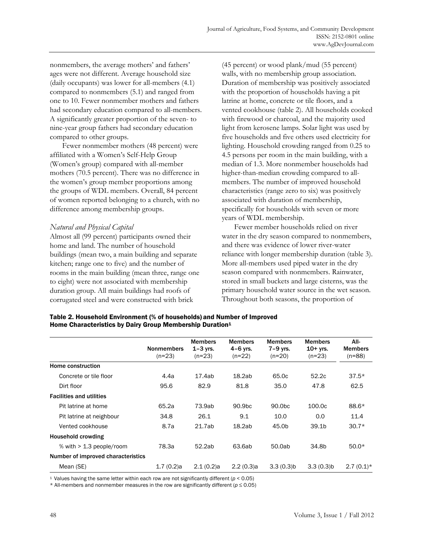nonmembers, the average mothers' and fathers' ages were not different. Average household size (daily occupants) was lower for all-members (4.1) compared to nonmembers (5.1) and ranged from one to 10. Fewer nonmember mothers and fathers had secondary education compared to all-members. A significantly greater proportion of the seven- to nine-year group fathers had secondary education compared to other groups.

 Fewer nonmember mothers (48 percent) were affiliated with a Women's Self-Help Group (Women's group) compared with all-member mothers (70.5 percent). There was no difference in the women's group member proportions among the groups of WDL members. Overall, 84 percent of women reported belonging to a church, with no difference among membership groups.

#### *Natural and Physical Capital*

Almost all (99 percent) participants owned their home and land. The number of household buildings (mean two, a main building and separate kitchen; range one to five) and the number of rooms in the main building (mean three, range one to eight) were not associated with membership duration group. All main buildings had roofs of corrugated steel and were constructed with brick

(45 percent) or wood plank/mud (55 percent) walls, with no membership group association. Duration of membership was positively associated with the proportion of households having a pit latrine at home, concrete or tile floors, and a vented cookhouse (table 2). All households cooked with firewood or charcoal, and the majority used light from kerosene lamps. Solar light was used by five households and five others used electricity for lighting. Household crowding ranged from 0.25 to 4.5 persons per room in the main building, with a median of 1.3. More nonmember households had higher-than-median crowding compared to allmembers. The number of improved household characteristics (range zero to six) was positively associated with duration of membership, specifically for households with seven or more years of WDL membership.

 Fewer member households relied on river water in the dry season compared to nonmembers, and there was evidence of lower river-water reliance with longer membership duration (table 3). More all-members used piped water in the dry season compared with nonmembers. Rainwater, stored in small buckets and large cisterns, was the primary household water source in the wet season. Throughout both seasons, the proportion of

| Table 2. Household Environment (% of households) and Number of Improved |
|-------------------------------------------------------------------------|
| Home Characteristics by Dairy Group Membership Duration <sup>1</sup>    |

|                                    | <b>Nonmembers</b><br>$(n=23)$ | <b>Members</b><br>$1-3$ yrs.<br>$(n=23)$ | <b>Members</b><br>4-6 yrs.<br>$(n=22)$ | <b>Members</b><br>7-9 yrs.<br>$(n=20)$ | <b>Members</b><br>$10+$ yrs.<br>$(n=23)$ | All-<br><b>Members</b><br>$(n=88)$ |
|------------------------------------|-------------------------------|------------------------------------------|----------------------------------------|----------------------------------------|------------------------------------------|------------------------------------|
| Home construction                  |                               |                                          |                                        |                                        |                                          |                                    |
| Concrete or tile floor             | 4.4a                          | 17.4ab                                   | 18.2ab                                 | 65.0c                                  | 52.2c                                    | $37.5*$                            |
| Dirt floor                         | 95.6                          | 82.9                                     | 81.8                                   | 35.0                                   | 47.8                                     | 62.5                               |
| <b>Facilities and utilities</b>    |                               |                                          |                                        |                                        |                                          |                                    |
| Pit latrine at home                | 65.2a                         | 73.9ab                                   | 90.9 <sub>bc</sub>                     | 90.0 <sub>bc</sub>                     | 100.0c                                   | 88.6*                              |
| Pit latrine at neighbour           | 34.8                          | 26.1                                     | 9.1                                    | 10.0                                   | 0.0                                      | 11.4                               |
| Vented cookhouse                   | 8.7a                          | 21.7ab                                   | 18.2ab                                 | 45.0b                                  | 39.1 <sub>b</sub>                        | $30.7*$                            |
| Household crowding                 |                               |                                          |                                        |                                        |                                          |                                    |
| % with $> 1.3$ people/room         | 78.3a                         | 52.2ab                                   | 63.6ab                                 | 50.0ab                                 | 34.8b                                    | $50.0*$                            |
| Number of improved characteristics |                               |                                          |                                        |                                        |                                          |                                    |
| Mean (SE)                          | 1.7(0.2)a                     | 2.1(0.2)a                                | 2.2(0.3)a                              | 3.3(0.3)b                              | 3.3(0.3)b                                | $2.7(0.1)*$                        |

<sup>1</sup> Values having the same letter within each row are not significantly different ( $p < 0.05$ )

\* All-members and nonmember measures in the row are significantly different (*p* ≤ 0.05)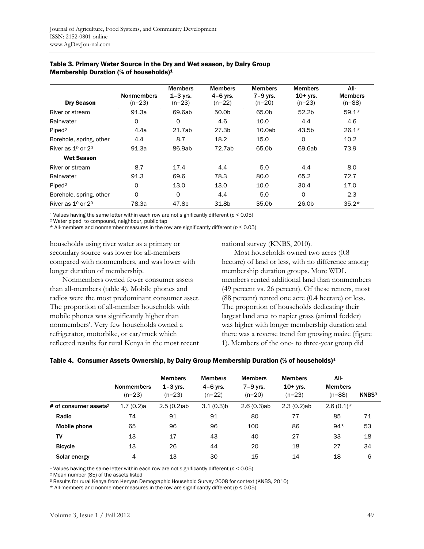|                         | <b>Nonmembers</b> | <b>Members</b><br>$1 - 3$ yrs. | <b>Members</b><br>4-6 yrs. | <b>Members</b><br>$7-9$ yrs. | <b>Members</b><br>$10+$ yrs. | AII-<br><b>Members</b> |
|-------------------------|-------------------|--------------------------------|----------------------------|------------------------------|------------------------------|------------------------|
| <b>Dry Season</b>       | $(n=23)$          | $(n=23)$                       | $(n=22)$                   | $(n=20)$                     | $(n=23)$                     | $(n=88)$               |
| River or stream         | 91.3a             | 69.6ab                         | 50.0b                      | 65.0b                        | 52.2 <sub>b</sub>            | $59.1*$                |
| Rainwater               | 0                 | O                              | 4.6                        | 10.0                         | 4.4                          | 4.6                    |
| Piped <sup>2</sup>      | 4.4a              | 21.7ab                         | 27.3b                      | 10.0ab                       | 43.5b                        | $26.1*$                |
| Borehole, spring, other | 4.4               | 8.7                            | 18.2                       | 15.0                         | 0                            | 10.2                   |
| River as $1^0$ or $2^0$ | 91.3a             | 86.9ab                         | 72.7ab                     | 65.0b                        | 69.6ab                       | 73.9                   |
| <b>Wet Season</b>       |                   |                                |                            |                              |                              |                        |
| River or stream         | 8.7               | 17.4                           | 4.4                        | 5.0                          | 4.4                          | 8.0                    |
| Rainwater               | 91.3              | 69.6                           | 78.3                       | 80.0                         | 65.2                         | 72.7                   |
| Piped <sup>2</sup>      | $\Omega$          | 13.0                           | 13.0                       | 10.0                         | 30.4                         | 17.0                   |
| Borehole, spring, other | $\Omega$          | 0                              | 4.4                        | 5.0                          | $\circ$                      | 2.3                    |
| River as $10$ or $20$   | 78.3a             | 47.8b                          | 31.8b                      | 35.0b                        | 26.0b                        | $35.2*$                |

#### Table 3. Primary Water Source in the Dry and Wet season, by Dairy Group Membership Duration (% of households)1

1 Values having the same letter within each row are not significantly different (*p* < 0.05) 2 Water piped to compound, neighbour, public tap

\* All-members and nonmember measures in the row are significantly different ( $p \le 0.05$ )

households using river water as a primary or secondary source was lower for all-members compared with nonmembers, and was lower with longer duration of membership.

 Nonmembers owned fewer consumer assets than all-members (table 4). Mobile phones and radios were the most predominant consumer asset. The proportion of all-member households with mobile phones was significantly higher than nonmembers'. Very few households owned a refrigerator, motorbike, or car/truck which reflected results for rural Kenya in the most recent

national survey (KNBS, 2010).

 Most households owned two acres (0.8 hectare) of land or less, with no difference among membership duration groups. More WDL members rented additional land than nonmembers (49 percent vs. 26 percent). Of these renters, most (88 percent) rented one acre (0.4 hectare) or less. The proportion of households dedicating their largest land area to napier grass (animal fodder) was higher with longer membership duration and there was a reverse trend for growing maize (figure 1). Members of the one- to three-year group did

#### Table 4. Consumer Assets Ownership, by Dairy Group Membership Duration (% of households)<sup>1</sup>

|                                   | <b>Nonmembers</b><br>$(n=23)$ | <b>Members</b><br>$1 - 3$ vrs.<br>$(n=23)$ | <b>Members</b><br>$4-6$ yrs.<br>$(n=22)$ | <b>Members</b><br>$7-9$ yrs.<br>$(n=20)$ | <b>Members</b><br>$10+$ yrs.<br>$(n=23)$ | AII-<br><b>Members</b><br>$(n=88)$ | KNBS <sup>3</sup> |
|-----------------------------------|-------------------------------|--------------------------------------------|------------------------------------------|------------------------------------------|------------------------------------------|------------------------------------|-------------------|
| # of consumer assets <sup>2</sup> | 1.7(0.2)a                     | $2.5(0.2)$ ab                              | 3.1(0.3)b                                | 2.6(0.3)ab                               | $2.3(0.2)$ ab                            | $2.6(0.1)*$                        |                   |
| Radio                             | 74                            | 91                                         | 91                                       | 80                                       | 77                                       | 85                                 | 71                |
| Mobile phone                      | 65                            | 96                                         | 96                                       | 100                                      | 86                                       | $94*$                              | 53                |
| TV                                | 13                            | 17                                         | 43                                       | 40                                       | 27                                       | 33                                 | 18                |
| <b>Bicycle</b>                    | 13                            | 26                                         | 44                                       | 20                                       | 18                                       | 27                                 | 34                |
| Solar energy                      | 4                             | 13                                         | 30                                       | 15                                       | 14                                       | 18                                 | 6                 |

<sup>1</sup> Values having the same letter within each row are not significantly different ( $p < 0.05$ ) <sup>2</sup> Mean number (SE) of the assets listed

3 Results for rural Kenya from Kenyan Demographic Household Survey 2008 for context (KNBS, 2010)

\* All-members and nonmember measures in the row are significantly different (*p* ≤ 0.05)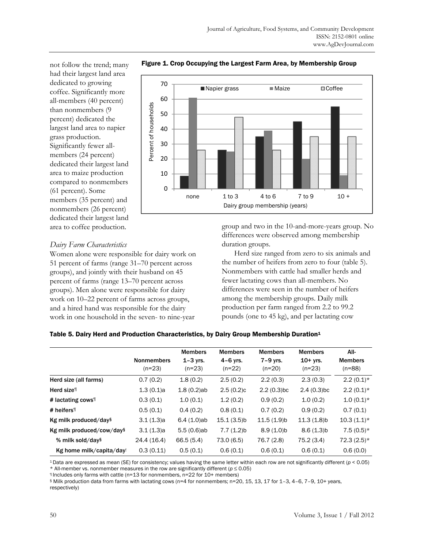not follow the trend; many had their largest land area dedicated to growing coffee. Significantly more all-members (40 percent) than nonmembers (9 percent) dedicated the largest land area to napier grass production. Significantly fewer allmembers (24 percent) dedicated their largest land area to maize production compared to nonmembers (61 percent). Some members (35 percent) and nonmembers (26 percent) dedicated their largest land area to coffee production.



Figure 1. Crop Occupying the Largest Farm Area, by Membership Group

## *Dairy Farm Characteristics*

Women alone were responsible for dairy work on 51 percent of farms (range 31–70 percent across groups), and jointly with their husband on 45 percent of farms (range 13–70 percent across groups). Men alone were responsible for dairy work on 10–22 percent of farms across groups, and a hired hand was responsible for the dairy work in one household in the seven- to nine-year

group and two in the 10-and-more-years group. No differences were observed among membership duration groups.

Herd size ranged from zero to six animals and the number of heifers from zero to four (table 5). Nonmembers with cattle had smaller herds and fewer lactating cows than all-members. No differences were seen in the number of heifers among the membership groups. Daily milk production per farm ranged from 2.2 to 99.2 pounds (one to 45 kg), and per lactating cow

#### Table 5. Dairy Herd and Production Characteristics, by Dairy Group Membership Duration<sup>1</sup>

|                               | <b>Nonmembers</b><br>$(n=23)$ | <b>Members</b><br>$1 - 3$ yrs.<br>$(n=23)$ | <b>Members</b><br>$4-6$ yrs.<br>$(n=22)$ | <b>Members</b><br>$7-9$ yrs.<br>$(n=20)$ | <b>Members</b><br>$10+$ yrs.<br>$(n=23)$ | AII-<br><b>Members</b><br>$(n=88)$ |
|-------------------------------|-------------------------------|--------------------------------------------|------------------------------------------|------------------------------------------|------------------------------------------|------------------------------------|
| Herd size (all farms)         | 0.7(0.2)                      | 1.8(0.2)                                   | 2.5(0.2)                                 | 2.2(0.3)                                 | 2.3(0.3)                                 | $2.2(0.1)*$                        |
| Herd size <sup>1</sup>        | 1.3(0.1)a                     | $1.8(0.2)$ ab                              | 2.5(0.2)c                                | $2.2(0.3)$ <sub>bc</sub>                 | $2.4(0.3)$ <sub>bc</sub>                 | $2.2(0.1)*$                        |
| # lactating cows <sup>1</sup> | 0.3(0.1)                      | 1.0(0.1)                                   | 1.2(0.2)                                 | 0.9(0.2)                                 | 1.0(0.2)                                 | $1.0(0.1)*$                        |
| # heifers <sup>¶</sup>        | 0.5(0.1)                      | 0.4(0.2)                                   | 0.8(0.1)                                 | 0.7(0.2)                                 | 0.9(0.2)                                 | 0.7(0.1)                           |
| Kg milk produced/days         | 3.1(1.3)a                     | $6.4(1.0)$ ab                              | $15.1(3.5)$ b                            | $11.5(1.9)$ b                            | $11.3(1.8)$ b                            | $10.3(1.1)*$                       |
| Kg milk produced/cow/days     | 3.1(1.3)a                     | $5.5(0.6)$ ab                              | 7.7(1.2)b                                | $8.9(1.0)$ b                             | 8.6(1.3)b                                | $7.5(0.5)$ *                       |
| % milk sold/day <sup>§</sup>  | 24.4 (16.4)                   | 66.5(5.4)                                  | 73.0(6.5)                                | 76.7 (2.8)                               | 75.2 (3.4)                               | $72.3(2.5)*$                       |
| Kg home milk/capita/day!      | 0.3(0.11)                     | 0.5(0.1)                                   | 0.6(0.1)                                 | 0.6(0.1)                                 | 0.6(0.1)                                 | 0.6(0.0)                           |

<sup>1</sup> Data are expressed as mean (SE) for consistency; values having the same letter within each row are not significantly different ( $p < 0.05$ ) \* All-member vs. nonmember measures in the row are significantly different ( $p$ 

\* All-member vs. nonmember measures in the row are significantly different (*<sup>p</sup>* <sup>≤</sup> 0.05) ¶ Includes only farms with cattle (n=13 for nonmembers, n=22 for 10+ members)

§ Milk production data from farms with lactating cows (n=4 for nonmembers; n=20, 15, 13, 17 for 1–3, 4–6, 7–9, 10+ years, respectively)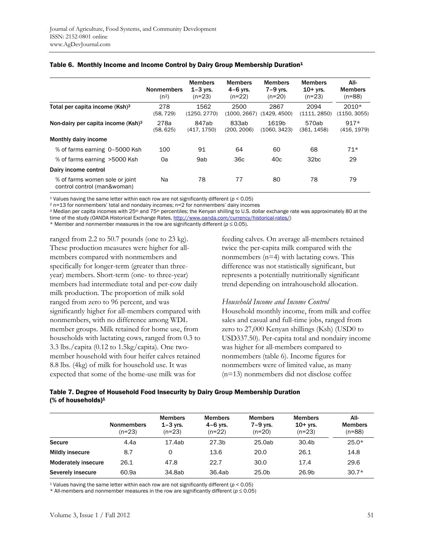|                                                               | <b>Nonmembers</b><br>(n <sup>2</sup> ) | <b>Members</b><br>$1-3$ vrs.<br>$(n=23)$ | <b>Members</b><br>$4-6$ yrs.<br>$(n=22)$ | <b>Members</b><br>$7-9$ yrs.<br>$(n=20)$ | <b>Members</b><br>$10+$ yrs.<br>$(n=23)$ | All-<br><b>Members</b><br>$(n=88)$ |
|---------------------------------------------------------------|----------------------------------------|------------------------------------------|------------------------------------------|------------------------------------------|------------------------------------------|------------------------------------|
| Total per capita income (Ksh) <sup>3</sup>                    | 278<br>(58, 729)                       | 1562<br>(1250, 2770)                     | 2500<br>(1000, 2667)                     | 2867<br>(1429, 4500)                     | 2094<br>(1111, 2850)                     | $2010*$<br>(1150, 3055)            |
| Non-dairy per capita income $(Ksh)^3$                         | 278a<br>(58, 625)                      | 847ab<br>(417, 1750)                     | 833ab<br>(200, 2006)                     | 1619b<br>(1060, 3423)                    | 570ab<br>(361, 1458)                     | $917*$<br>(416, 1979)              |
| Monthly dairy income                                          |                                        |                                          |                                          |                                          |                                          |                                    |
| % of farms earning 0-5000 Ksh                                 | 100                                    | 91                                       | 64                                       | 60                                       | 68                                       | $71*$                              |
| % of farms earning >5000 Ksh                                  | 0a                                     | 9ab                                      | 36 <sub>c</sub>                          | 40c                                      | 32 <sub>bc</sub>                         | 29                                 |
| Dairy income control                                          |                                        |                                          |                                          |                                          |                                          |                                    |
| % of farms women sole or joint<br>control control (man&woman) | Na                                     | 78                                       | 77                                       | 80                                       | 78                                       | 79                                 |

#### Table 6. Monthly Income and Income Control by Dairy Group Membership Duration<sup>1</sup>

<sup>1</sup> Values having the same letter within each row are not significantly different ( $p < 0.05$ )<br><sup>2</sup> n=13 for nonmembers' total and nondairy incomes; n=2 for nonmembers' dairy incomes

<sup>3</sup> Median per capita incomes with 25<sup>th</sup> and 75<sup>th</sup> percentiles; the Kenyan shilling to U.S. dollar exchange rate was approximately 80 at the

time of the study (OANDA Historical Exchange Rates, http://www.oanda.com/currency/historical-rates/)

\* Member and nonmember measures in the row are significantly different (*p* ≤ 0.05).

ranged from 2.2 to 50.7 pounds (one to 23 kg). These production measures were higher for allmembers compared with nonmembers and specifically for longer-term (greater than threeyear) members. Short-term (one- to three-year) members had intermediate total and per-cow daily milk production. The proportion of milk sold ranged from zero to 96 percent, and was significantly higher for all-members compared with nonmembers, with no difference among WDL member groups. Milk retained for home use, from households with lactating cows, ranged from 0.3 to 3.3 lbs./capita (0.12 to 1.5kg/capita). One twomember household with four heifer calves retained 8.8 lbs. (4kg) of milk for household use. It was expected that some of the home-use milk was for

feeding calves. On average all-members retained twice the per-capita milk compared with the nonmembers (n=4) with lactating cows. This difference was not statistically significant, but represents a potentially nutritionally significant trend depending on intrahousehold allocation.

#### *Household Income and Income Control*

Household monthly income, from milk and coffee sales and casual and full-time jobs, ranged from zero to 27,000 Kenyan shillings (Ksh) (USD0 to USD337.50). Per-capita total and nondairy income was higher for all-members compared to nonmembers (table 6). Income figures for nonmembers were of limited value, as many (n=13) nonmembers did not disclose coffee

#### Table 7. Degree of Household Food Insecurity by Dairy Group Membership Duration (% of households)1

|                            | <b>Nonmembers</b><br>$(n=23)$ | <b>Members</b><br>$1 - 3$ vrs.<br>(n=23) | <b>Members</b><br>$4-6$ yrs.<br>$(n=22)$ | <b>Members</b><br>7-9 vrs.<br>$(n=20)$ | <b>Members</b><br>$10+$ yrs.<br>$(n=23)$ | AII-<br><b>Members</b><br>$(n=88)$ |
|----------------------------|-------------------------------|------------------------------------------|------------------------------------------|----------------------------------------|------------------------------------------|------------------------------------|
| <b>Secure</b>              | 4.4a                          | 17.4ab                                   | 27.3b                                    | 25.0ab                                 | 30.4b                                    | $25.0*$                            |
| <b>Mildly insecure</b>     | 8.7                           | 0                                        | 13.6                                     | 20.0                                   | 26.1                                     | 14.8                               |
| <b>Moderately insecure</b> | 26.1                          | 47.8                                     | 22.7                                     | 30.0                                   | 17.4                                     | 29.6                               |
| Severely insecure          | 60.9a                         | 34.8ab                                   | 36.4ab                                   | 25.0 <sub>b</sub>                      | 26.9b                                    | $30.7*$                            |

1 Values having the same letter within each row are not significantly different (*p* < 0.05)

\* All-members and nonmember measures in the row are significantly different (*p* ≤ 0.05)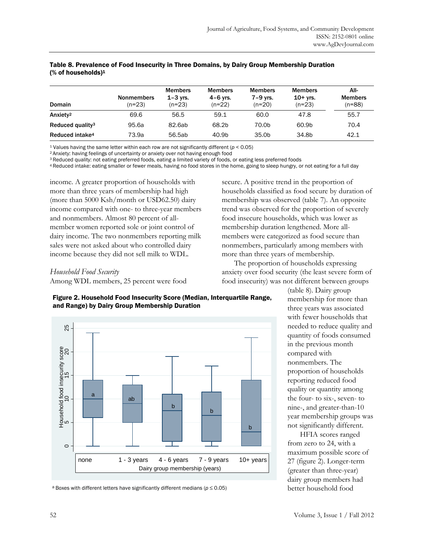| Domain                       | <b>Nonmembers</b><br>$(n=23)$ | <b>Members</b><br>$1 - 3$ vrs.<br>$(n=23)$ | <b>Members</b><br>$4-6$ vrs.<br>$(n=22)$ | <b>Members</b><br>7-9 vrs.<br>$(n=20)$ | <b>Members</b><br>$10+$ yrs.<br>$(n=23)$ | All-<br><b>Members</b><br>(n=88) |
|------------------------------|-------------------------------|--------------------------------------------|------------------------------------------|----------------------------------------|------------------------------------------|----------------------------------|
| Anxiety <sup>2</sup>         | 69.6                          | 56.5                                       | 59.1                                     | 60.0                                   | 47.8                                     | 55.7                             |
| Reduced quality <sup>3</sup> | 95.6a                         | 82.6ab                                     | 68.2b                                    | 70.0b                                  | 60.9b                                    | 70.4                             |
| Reduced intake <sup>4</sup>  | 73.9a                         | 56.5ab                                     | 40.9b                                    | 35.0 <sub>b</sub>                      | 34.8b                                    | 42.1                             |

#### Table 8. Prevalence of Food Insecurity in Three Domains, by Dairy Group Membership Duration (% of households)1

<sup>1</sup> Values having the same letter within each row are not significantly different ( $p < 0.05$ )<br><sup>2</sup> Anxiety: having feelings of uncertainty or anxiety over not having enough food<br><sup>3</sup> Reduced quality: not eating preferred fo

4 Reduced intake: eating smaller or fewer meals, having no food stores in the home, going to sleep hungry, or not eating for a full day

income. A greater proportion of households with more than three years of membership had high (more than 5000 Ksh/month or USD62.50) dairy income compared with one- to three-year members and nonmembers. Almost 80 percent of allmember women reported sole or joint control of dairy income. The two nonmembers reporting milk sales were not asked about who controlled dairy income because they did not sell milk to WDL.

secure. A positive trend in the proportion of households classified as food secure by duration of membership was observed (table 7). An opposite trend was observed for the proportion of severely food insecure households, which was lower as membership duration lengthened. More allmembers were categorized as food secure than nonmembers, particularly among members with more than three years of membership.

 The proportion of households expressing anxiety over food security (the least severe form of food insecurity) was not different between groups

# *Household Food Security*

Among WDL members, 25 percent were food



Figure 2. Household Food Insecurity Score (Median, Interquartile Range, and Range) by Dairy Group Membership Duration

a Boxes with different letters have significantly different medians (*p* ≤ 0.05)

(table 8). Dairy group membership for more than three years was associated with fewer households that needed to reduce quality and quantity of foods consumed in the previous month compared with nonmembers. The proportion of households reporting reduced food quality or quantity among the four- to six-, seven- to nine-, and greater-than-10 year membership groups was not significantly different.

 HFIA scores ranged from zero to 24, with a maximum possible score of 27 (figure 2). Longer-term (greater than three-year) dairy group members had better household food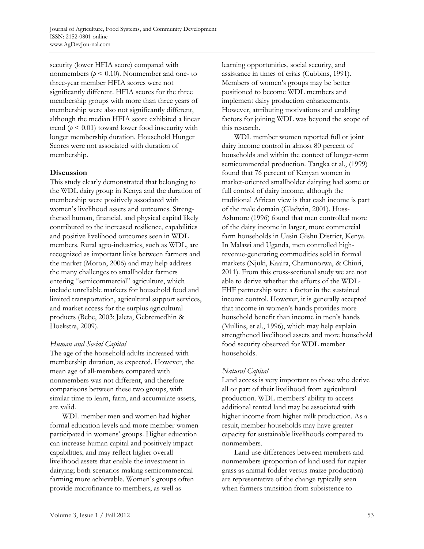security (lower HFIA score) compared with nonmembers ( $p < 0.10$ ). Nonmember and one- to three-year member HFIA scores were not significantly different. HFIA scores for the three membership groups with more than three years of membership were also not significantly different, although the median HFIA score exhibited a linear trend ( $p \leq 0.01$ ) toward lower food insecurity with longer membership duration. Household Hunger Scores were not associated with duration of membership.

#### **Discussion**

This study clearly demonstrated that belonging to the WDL dairy group in Kenya and the duration of membership were positively associated with women's livelihood assets and outcomes. Strengthened human, financial, and physical capital likely contributed to the increased resilience, capabilities and positive livelihood outcomes seen in WDL members. Rural agro-industries, such as WDL, are recognized as important links between farmers and the market (Moron, 2006) and may help address the many challenges to smallholder farmers entering "semicommercial" agriculture, which include unreliable markets for household food and limited transportation, agricultural support services, and market access for the surplus agricultural products (Bebe, 2003; Jaleta, Gebremedhin & Hoekstra, 2009).

#### *Human and Social Capital*

The age of the household adults increased with membership duration, as expected. However, the mean age of all-members compared with nonmembers was not different, and therefore comparisons between these two groups, with similar time to learn, farm, and accumulate assets, are valid.

 WDL member men and women had higher formal education levels and more member women participated in womens' groups. Higher education can increase human capital and positively impact capabilities, and may reflect higher overall livelihood assets that enable the investment in dairying; both scenarios making semicommercial farming more achievable. Women's groups often provide microfinance to members, as well as

learning opportunities, social security, and assistance in times of crisis (Cubbins, 1991). Members of women's groups may be better positioned to become WDL members and implement dairy production enhancements. However, attributing motivations and enabling factors for joining WDL was beyond the scope of this research.

 WDL member women reported full or joint dairy income control in almost 80 percent of households and within the context of longer-term semicommercial production. Tangka et al., (1999) found that 76 percent of Kenyan women in market-oriented smallholder dairying had some or full control of dairy income, although the traditional African view is that cash income is part of the male domain (Gladwin, 2001). Huss-Ashmore (1996) found that men controlled more of the dairy income in larger, more commercial farm households in Uasin Gishu District, Kenya. In Malawi and Uganda, men controlled highrevenue-generating commodities sold in formal markets (Njuki, Kaaira, Chamunorwa, & Chiuri, 2011). From this cross-sectional study we are not able to derive whether the efforts of the WDL-FHF partnership were a factor in the sustained income control. However, it is generally accepted that income in women's hands provides more household benefit than income in men's hands (Mullins, et al., 1996), which may help explain strengthened livelihood assets and more household food security observed for WDL member households.

# *Natural Capital*

Land access is very important to those who derive all or part of their livelihood from agricultural production. WDL members' ability to access additional rented land may be associated with higher income from higher milk production. As a result, member households may have greater capacity for sustainable livelihoods compared to nonmembers.

 Land use differences between members and nonmembers (proportion of land used for napier grass as animal fodder versus maize production) are representative of the change typically seen when farmers transition from subsistence to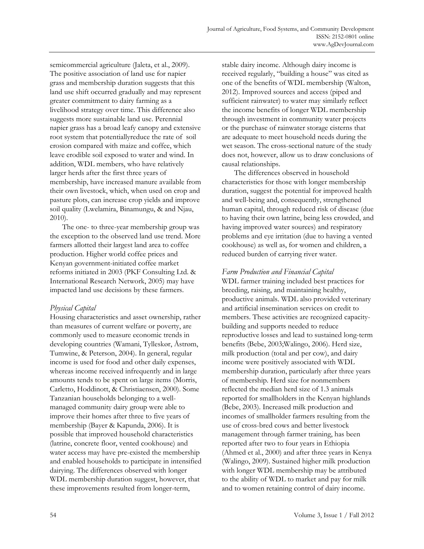semicommercial agriculture (Jaleta, et al., 2009). The positive association of land use for napier grass and membership duration suggests that this land use shift occurred gradually and may represent greater commitment to dairy farming as a livelihood strategy over time. This difference also suggests more sustainable land use. Perennial napier grass has a broad leafy canopy and extensive root system that potentiallyreduce the rate of soil erosion compared with maize and coffee, which leave erodible soil exposed to water and wind. In addition, WDL members, who have relatively larger herds after the first three years of membership, have increased manure available from their own livestock, which, when used on crop and pasture plots, can increase crop yields and improve soil quality (Lwelamira, Binamungu, & and Njau, 2010).

 The one- to three-year membership group was the exception to the observed land use trend. More farmers allotted their largest land area to coffee production. Higher world coffee prices and Kenyan government-initiated coffee market reforms initiated in 2003 (PKF Consulting Ltd. & International Research Network, 2005) may have impacted land use decisions by these farmers.

# *Physical Capital*

Housing characteristics and asset ownership, rather than measures of current welfare or poverty, are commonly used to measure economic trends in developing countries (Wamani, Tylleskør, Åstrøm, Tumwine, & Peterson, 2004). In general, regular income is used for food and other daily expenses, whereas income received infrequently and in large amounts tends to be spent on large items (Morris, Carletto, Hoddinott, & Christiaensen, 2000). Some Tanzanian households belonging to a wellmanaged community dairy group were able to improve their homes after three to five years of membership (Bayer & Kapunda, 2006). It is possible that improved household characteristics (latrine, concrete floor, vented cookhouse) and water access may have pre-existed the membership and enabled households to participate in intensified dairying. The differences observed with longer WDL membership duration suggest, however, that these improvements resulted from longer-term,

stable dairy income. Although dairy income is received regularly, "building a house" was cited as one of the benefits of WDL membership (Walton, 2012). Improved sources and access (piped and sufficient rainwater) to water may similarly reflect the income benefits of longer WDL membership through investment in community water projects or the purchase of rainwater storage cisterns that are adequate to meet household needs during the wet season. The cross-sectional nature of the study does not, however, allow us to draw conclusions of causal relationships.

 The differences observed in household characteristics for those with longer membership duration, suggest the potential for improved health and well-being and, consequently, strengthened human capital, through reduced risk of disease (due to having their own latrine, being less crowded, and having improved water sources) and respiratory problems and eye irritation (due to having a vented cookhouse) as well as, for women and children, a reduced burden of carrying river water.

# *Farm Production and Financial Capital*

WDL farmer training included best practices for breeding, raising, and maintaining healthy, productive animals. WDL also provided veterinary and artificial insemination services on credit to members. These activities are recognized capacitybuilding and supports needed to reduce reproductive losses and lead to sustained long-term benefits (Bebe, 2003;Walingo, 2006). Herd size, milk production (total and per cow), and dairy income were positively associated with WDL membership duration, particularly after three years of membership. Herd size for nonmembers reflected the median herd size of 1.3 animals reported for smallholders in the Kenyan highlands (Bebe, 2003). Increased milk production and incomes of smallholder farmers resulting from the use of cross-bred cows and better livestock management through farmer training, has been reported after two to four years in Ethiopia (Ahmed et al., 2000) and after three years in Kenya (Walingo, 2009). Sustained higher milk production with longer WDL membership may be attributed to the ability of WDL to market and pay for milk and to women retaining control of dairy income.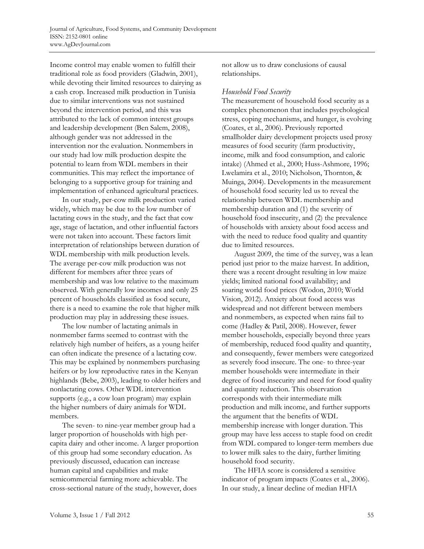Income control may enable women to fulfill their traditional role as food providers (Gladwin, 2001), while devoting their limited resources to dairying as a cash crop. Increased milk production in Tunisia due to similar interventions was not sustained beyond the intervention period, and this was attributed to the lack of common interest groups and leadership development (Ben Salem, 2008), although gender was not addressed in the intervention nor the evaluation. Nonmembers in our study had low milk production despite the potential to learn from WDL members in their communities. This may reflect the importance of belonging to a supportive group for training and implementation of enhanced agricultural practices.

 In our study, per-cow milk production varied widely, which may be due to the low number of lactating cows in the study, and the fact that cow age, stage of lactation, and other influential factors were not taken into account. These factors limit interpretation of relationships between duration of WDL membership with milk production levels. The average per-cow milk production was not different for members after three years of membership and was low relative to the maximum observed. With generally low incomes and only 25 percent of households classified as food secure, there is a need to examine the role that higher milk production may play in addressing these issues.

 The low number of lactating animals in nonmember farms seemed to contrast with the relatively high number of heifers, as a young heifer can often indicate the presence of a lactating cow. This may be explained by nonmembers purchasing heifers or by low reproductive rates in the Kenyan highlands (Bebe, 2003), leading to older heifers and nonlactating cows. Other WDL intervention supports (e.g., a cow loan program) may explain the higher numbers of dairy animals for WDL members.

 The seven- to nine-year member group had a larger proportion of households with high percapita dairy and other income. A larger proportion of this group had some secondary education. As previously discussed, education can increase human capital and capabilities and make semicommercial farming more achievable. The cross-sectional nature of the study, however, does

not allow us to draw conclusions of causal relationships.

#### *Household Food Security*

The measurement of household food security as a complex phenomenon that includes psychological stress, coping mechanisms, and hunger, is evolving (Coates, et al., 2006). Previously reported smallholder dairy development projects used proxy measures of food security (farm productivity, income, milk and food consumption, and caloric intake) (Ahmed et al., 2000; Huss-Ashmore, 1996; Lwelamira et al., 2010; Nicholson, Thornton, & Muinga, 2004). Developments in the measurement of household food security led us to reveal the relationship between WDL membership and membership duration and (1) the severity of household food insecurity, and (2) the prevalence of households with anxiety about food access and with the need to reduce food quality and quantity due to limited resources.

 August 2009, the time of the survey, was a lean period just prior to the maize harvest. In addition, there was a recent drought resulting in low maize yields; limited national food availability; and soaring world food prices (Wodon, 2010; World Vision, 2012). Anxiety about food access was widespread and not different between members and nonmembers, as expected when rains fail to come (Hadley & Patil, 2008). However, fewer member households, especially beyond three years of membership, reduced food quality and quantity, and consequently, fewer members were categorized as severely food insecure. The one- to three-year member households were intermediate in their degree of food insecurity and need for food quality and quantity reduction. This observation corresponds with their intermediate milk production and milk income, and further supports the argument that the benefits of WDL membership increase with longer duration. This group may have less access to staple food on credit from WDL compared to longer-term members due to lower milk sales to the dairy, further limiting household food security.

The HFIA score is considered a sensitive indicator of program impacts (Coates et al., 2006). In our study, a linear decline of median HFIA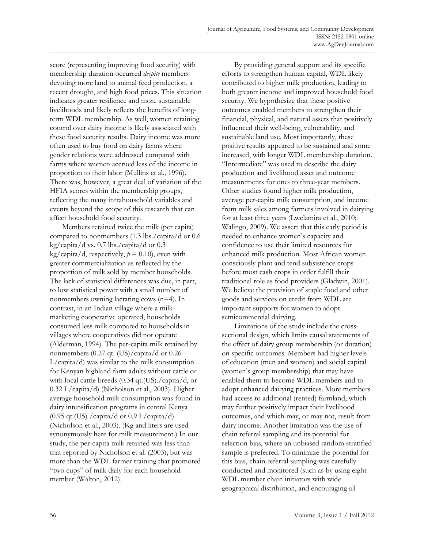score (representing improving food security) with membership duration occurred *despite* members devoting more land to animal feed production, a recent drought, and high food prices. This situation indicates greater resilience and more sustainable livelihoods and likely reflects the benefits of longterm WDL membership. As well, women retaining control over dairy income is likely associated with these food security results. Dairy income was more often used to buy food on dairy farms where gender relations were addressed compared with farms where women accrued less of the income in proportion to their labor (Mullins et al., 1996). There was, however, a great deal of variation of the HFIA scores within the membership groups, reflecting the many intrahousehold variables and events beyond the scope of this research that can affect household food security.

 Members retained twice the milk (per capita) compared to nonmembers (1.3 lbs./capita/d or 0.6 kg/capita/d vs. 0.7 lbs./capita/d or 0.3 kg/capita/d, respectively,  $p = 0.10$ ), even with greater commercialization as reflected by the proportion of milk sold by member households. The lack of statistical differences was due, in part, to low statistical power with a small number of nonmembers owning lactating cows (n=4). In contrast, in an Indian village where a milkmarketing cooperative operated, households consumed less milk compared to households in villages where cooperatives did not operate (Alderman, 1994). The per-capita milk retained by nonmembers (0.27 qt. (US)/capita/d or 0.26 L/capita/d) was similar to the milk consumption for Kenyan highland farm adults without cattle or with local cattle breeds (0.34 qt.(US)./capita/d, or 0.32 L/capita/d) (Nicholson et al., 2003). Higher average household milk consumption was found in dairy intensification programs in central Kenya  $(0.95 \text{ qt.} (US) / \text{capital/d} \text{ or } 0.9 \text{ L} / \text{capital/d})$ (Nicholson et al., 2003). (Kg and liters are used synonymously here for milk measurement.) In our study, the per-capita milk retained was less than that reported by Nicholson et al. (2003), but was more than the WDL farmer training that promoted "two cups" of milk daily for each household member (Walton, 2012).

 By providing general support and its specific efforts to strengthen human capital, WDL likely contributed to higher milk production, leading to both greater income and improved household food security. We hypothesize that these positive outcomes enabled members to strengthen their financial, physical, and natural assets that positively influenced their well-being, vulnerability, and sustainable land use. Most importantly, these positive results appeared to be sustained and some increased, with longer WDL membership duration. "Intermediate" was used to describe the dairy production and livelihood asset and outcome measurements for one- to three-year members. Other studies found higher milk production, average per-capita milk consumption, and income from milk sales among farmers involved in dairying for at least three years (Lwelamira et al., 2010; Walingo, 2009). We assert that this early period is needed to enhance women's capacity and confidence to use their limited resources for enhanced milk production. Most African women consciously plant and tend subsistence crops before most cash crops in order fulfill their traditional role as food providers (Gladwin, 2001). We believe the provision of staple food and other goods and services on credit from WDL are important supports for women to adopt semicommercial dairying.

 Limitations of the study include the crosssectional design, which limits causal statements of the effect of dairy group membership (or duration) on specific outcomes. Members had higher levels of education (men and women) and social capital (women's group membership) that may have enabled them to become WDL members and to adopt enhanced dairying practices. More members had access to additional (rented) farmland, which may further positively impact their livelihood outcomes, and which may, or may not, result from dairy income. Another limitation was the use of chain referral sampling and its potential for selection bias, where an unbiased random stratified sample is preferred. To minimize the potential for this bias, chain referral sampling was carefully conducted and monitored (such as by using eight WDL member chain initiators with wide geographical distribution, and encouraging all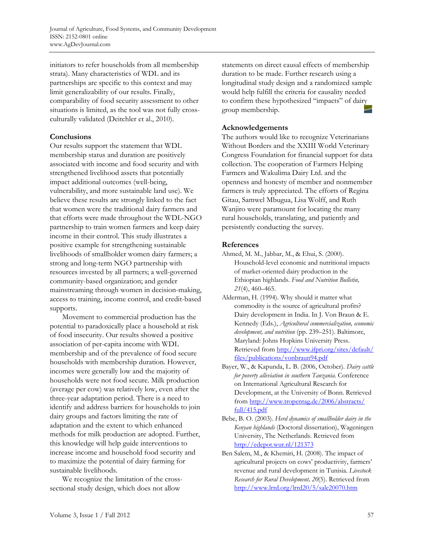initiators to refer households from all membership strata). Many characteristics of WDL and its partnerships are specific to this context and may limit generalizability of our results. Finally, comparability of food security assessment to other situations is limited, as the tool was not fully crossculturally validated (Deitchler et al., 2010).

## **Conclusions**

Our results support the statement that WDL membership status and duration are positively associated with income and food security and with strengthened livelihood assets that potentially impact additional outcomes (well-being, vulnerability, and more sustainable land use). We believe these results are strongly linked to the fact that women were the traditional dairy farmers and that efforts were made throughout the WDL-NGO partnership to train women farmers and keep dairy income in their control. This study illustrates a positive example for strengthening sustainable livelihoods of smallholder women dairy farmers; a strong and long-term NGO partnership with resources invested by all partners; a well-governed community-based organization; and gender mainstreaming through women in decision-making, access to training, income control, and credit-based supports.

 Movement to commercial production has the potential to paradoxically place a household at risk of food insecurity. Our results showed a positive association of per-capita income with WDL membership and of the prevalence of food secure households with membership duration. However, incomes were generally low and the majority of households were not food secure. Milk production (average per cow) was relatively low, even after the three-year adaptation period. There is a need to identify and address barriers for households to join dairy groups and factors limiting the rate of adaptation and the extent to which enhanced methods for milk production are adopted. Further, this knowledge will help guide interventions to increase income and household food security and to maximize the potential of dairy farming for sustainable livelihoods.

 We recognize the limitation of the crosssectional study design, which does not allow

statements on direct causal effects of membership duration to be made. Further research using a longitudinal study design and a randomized sample would help fulfill the criteria for causality needed to confirm these hypothesized "impacts" of dairy group membership.

# **Acknowledgements**

The authors would like to recognize Veterinarians Without Borders and the XXIII World Veterinary Congress Foundation for financial support for data collection. The cooperation of Farmers Helping Farmers and Wakulima Dairy Ltd. and the openness and honesty of member and nonmember farmers is truly appreciated. The efforts of Regina Gitau, Samwel Mbugua, Lisa Wolff, and Ruth Wanjiro were paramount for locating the many rural households, translating, and patiently and persistently conducting the survey.

## **References**

- Ahmed, M. M., Jabbar, M., & Ehui, S. (2000). Household-level economic and nutritional impacts of market-oriented dairy production in the Ethiopian highlands. *Food and Nutrition Bulletin, 21*(4), 460–465.
- Alderman, H. (1994). Why should it matter what commodity is the source of agricultural profits? Dairy development in India. In J. Von Braun & E. Kennedy (Eds.), *Agricultural commercialization, economic development, and nutrition* (pp. 239–251). Baltimore, Maryland: Johns Hopkins University Press. [Retrieved from http://www.ifpri.org/sites/default/](http://www.ifpri.org/sites/default/files/publications/vonbraun94.pdf)  files/publications/vonbraun94.pdf
- Bayer, W., & Kapunda, L. B. (2006, October). *Dairy cattle for poverty alleviation in southern Tanzania.* Conference on International Agricultural Research for Development, at the University of Bonn. Retrieved [from http://www.tropentag.de/2006/abstracts/](http://www.tropentag.de/2006/abstracts/full/415.pdf)  full/415.pdf
- Bebe, B. O. (2003). *Herd dynamics of smallholder dairy in the Kenyan highlands* (Doctoral dissertation), Wageningen University, The Netherlands. Retrieved from http://edepot.wur.nl/121373
- Ben Salem, M., & Khemiri, H. (2008). The impact of agricultural projects on cows' productivity, farmers' revenue and rural development in Tunisia. *Livestock Research for Rural Development, 20*(5). Retrieved from http://www.lrrd.org/lrrd20/5/sale20070.htm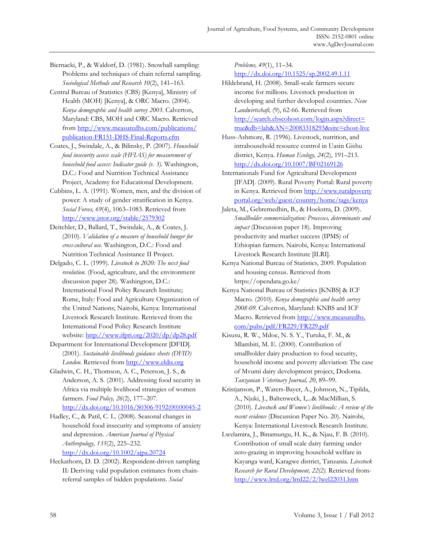Biernacki, P., & Waldorf, D. (1981). Snowball sampling: Problems and techniques of chain referral sampling. *Sociological Methods and Research 10*(2), 141–163.

Central Bureau of Statistics (CBS) [Kenya], Ministry of Health (MOH) [Kenya], & ORC Macro. (2004). *Kenya demographic and health survey 2003.* Calverton, Maryland: CBS, MOH and ORC Macro. Retrieved [from http://www.measuredhs.com/publications/](http://www.measuredhs.com/publications/publication-FR151-DHS-Final-Reports.cfm) publication-FR151-DHS-Final-Reports.cfm

- Coates, J., Swindale, A., & Bilinsky, P. (2007). *Household food insecurity access scale (HFIAS) for measurement of household food access: Indicator guide (v. 3).* Washington, D.C.: Food and Nutrition Technical Assistance Project, Academy for Educational Development.
- Cubbins, L. A. (1991). Women, men, and the division of power: A study of gender stratification in Kenya. *Social Forces, 69*(4), 1063–1083. Retrieved from http://www.jstor.org/stable/2579302
- Deitchler, D., Ballard, T., Swindale, A., & Coates, J. (2010). *Validation of a measure of household hunger for cross-cultural use.* Washington, D.C.: Food and Nutrition Technical Assistance II Project.
- Delgado, C. L. (1999). *Livestock to 2020: The next food revolution.* (Food, agriculture, and the environment discussion paper 28). Washington, D.C.: International Food Policy Research Institute; Rome, Italy: Food and Agriculture Organization of the United Nations; Nairobi, Kenya: International Livestock Research Institute. Retrieved from the International Food Policy Research Institute website: http://www.ifpri.org/2020/dp/dp28.pdf
- Department for International Development [DFID]. (2001). *Sustainable livelihoods guidance sheets (DFID)*  London. Retrieved from http://www.eldis.org
- Gladwin, C. H., Thomson, A. C., Peterson, J. S., & Anderson, A. S. (2001). Addressing food security in Africa via multiple livelihood strategies of women farmers. *Food Policy, 26*(2), 177–207. http://dx.doi.org/10.1016/S0306-9192(00)00045-2
- Hadley, C., & Patil, C. L. (2008). Seasonal changes in household food insecurity and symptoms of anxiety and depression. *American Journal of Physical Anthropology, 135*(2), 225–232. http://dx.doi.org/10.1002/ajpa.20724
- Heckathorn, D. D. (2002). Respondent-driven sampling II: Deriving valid population estimates from chainreferral samples of hidden populations. *Social*

*Problems, 49*(1), 11–34. http://dx.doi.org/10.1525/sp.2002.49.1.11

- Hildebrand, H. (2008). Small-scale farmers secure income for millions. Livestock production in developing and further developed countries. *Neue Landwirtschaft,* (9), 62-66. Retrieved from http://search.ebscohost.com/login.aspx?direct= [true&db=lah&AN=20083318293&site=ehost-live](http://search.ebscohost.com/login.aspx?direct=true&db=lah&AN=20083318293&site=ehost-live)
- Huss-Ashmore, R. (1996). Livestock, nutrition, and intrahousehold resource control in Uasin Gishu district, Kenya. *Human Ecology, 24*(2), 191–213. http://dx.doi.org/10.1007/BF02169126
- Internationals Fund for Agricultural Development [IFAD]. (2009). Rural Poverty Portal: Rural poverty [in Kenya. Retrieved from http://www.ruralpoverty](http://www.ruralpovertyportal.org/web/guest/country/home/tags/kenya) portal.org/web/guest/country/home/tags/kenya
- Jaleta, M., Gebremedhin, B., & Hoekstra, D. (2009). *Smallholder commercialization: Processes, determinants and impact* (Discussion paper 18). Improving productivity and market success (IPMS) of Ethiopian farmers*.* Nairobi, Kenya: International Livestock Research Institute [ILRI].
- Kenya National Bureau of Statistics, 2009. Population and housing census. Retrieved from https://opendata.go.ke/
- Kenya National Bureau of Statistics [KNBS] & ICF Macro. (2010). *Kenya demographic and health survey 2008-09.* Calverton, Maryland: KNBS and ICF [Macro. Retrieved from http://www.measuredhs.](http://www.measuredhs.com/pubs/pdf/FR229/FR229.pdf)  com/pubs/pdf/FR229/FR229.pdf
- Kisusu, R. W., Mdoe, N. S. Y., Turuka, F. M., & Mlambiti, M. E. (2000). Contribution of smallholder dairy production to food security, household income and poverty alleviation: The case of Mvumi dairy development project, Dodoma. *Tanzanian Veterinary Journal, 20*, 89–99.
- Kristjanson, P., Waters-Bayer, A., Johnson, N., Tipilda, A., Njuki, J., Baltenweck, I,...& MacMillian, S. (2010). *Livestock and Women's livelihoods: A review of the recent evidence* (Discussion Paper No. 20). Nairobi, Kenya: International Livestock Research Institute.
- Lwelamira, J., Binamungu, H. K., & Njau, F. B. (2010). Contribution of small scale dairy farming under zero-grazing in improving household welfare in Kayanga ward, Karagwe district, Tanzania. *Livestock Research for Rural Development, 22(2).* Retrieved fromhttp://www.lrrd.org/lrrd22/2/lwel22031.htm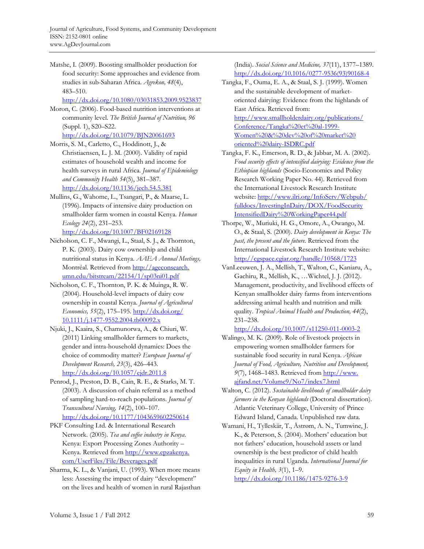Matshe, I. (2009). Boosting smallholder production for food security: Some approaches and evidence from studies in sub-Saharan Africa. *Agrekon, 48*(4), 483–510.

http://dx.doi.org/10.1080/03031853.2009.9523837

- Moron, C. (2006). Food-based nutrition interventions at community level. *The British Journal of Nutrition, 96*  (Suppl. 1), S20–S22. http://dx.doi.org/10.1079/BJN20061693
- Morris, S. M., Carletto, C., Hoddinott, J., & Christiaensen, L. J. M. (2000). Validity of rapid estimates of household wealth and income for health surveys in rural Africa. *Journal of Epidemiology and Community Health 54*(5), 381–387. http://dx.doi.org/10.1136/jech.54.5.381
- Mullins, G., Wahome, L., Tsangari, P., & Maarse, L. (1996). Impacts of intensive dairy production on smallholder farm women in coastal Kenya. *Human Ecology 24*(2), 231–253.
	- http://dx.doi.org/10.1007/BF02169128
- Nicholson, C. F., Mwangi, L., Staal, S. J., & Thornton, P. K. (2003). Dairy cow ownership and child nutritional status in Kenya. *AAEA Annual Meetings,*  [Montréal. Retrieved from http://ageconsearch.](http://ageconsearch.umn.edu/bitstream/22154/1/sp03ni01.pdf) umn.edu/bitstream/22154/1/sp03ni01.pdf
- Nicholson, C. F., Thornton, P. K. & Muinga, R. W. (2004). Household-level impacts of dairy cow ownership in coastal Kenya. *Journal of Agricultural Economics, 55*(2), 175–195. http://dx.doi.org/ [10.1111/j.1477-9552.2004.tb00092.x](http://dx.doi.org/10.1111/j.1477-9552.2004.tb00092.x)
- Njuki, J., Kaaira, S., Chamunorwa, A., & Chiuri, W. (2011) Linking smallholder farmers to markets, gender and intra-household dynamics: Does the choice of commodity matter? *European Journal of Development Research, 23*(3), 426–443. http://dx.doi.org/10.1057/ejdr.2011.8
- Penrod, J., Preston, D. B., Cain, R. E., & Starks, M. T. (2003). A discussion of chain referral as a method of sampling hard-to-reach populations. *Journal of Transcultural Nursing, 14*(2), 100–107. http://dx.doi.org/10.1177/1043659602250614
- PKF Consulting Ltd. & International Research Network. (2005). *Tea and coffee industry in Kenya*. Kenya: Export Processing Zones Authority – [Kenya. Retrieved from http://www.epzakenya.](http://www.epzakenya.com/UserFiles/File/Beverages.pdf) com/UserFiles/File/Beverages.pdf
- Sharma, K. L., & Vanjani, U. (1993). When more means less: Assessing the impact of dairy "development" on the lives and health of women in rural Rajasthan

(India). *Social Science and Medicine, 37*(11), 1377–1389. [http://dx.doi.org/10.1016/0277-9536\(93\)90168-4](http://dx.doi.org/10.1016/0277-9536(93)90168-4)

- Tangka, F., Ouma, E. A., & Staal, S. J. (1999). Women and the sustainable development of marketoriented dairying: Evidence from the highlands of East Africa. Retrieved from: [http://www.smallholderdairy.org/publications/](http://www.smallholderdairy.org/publications/Conference/Tangka%20et%20al-1999-Women%20&%20dev%20of%20market%20oriented%20dairy-ISDRC.pdf)  Conference/Tangka%20et%20al-1999- Women%20&%20dev%20of%20market%20 oriented%20dairy-ISDRC.pdf
- Tangka, F. K., Emerson, R. D., & Jabbar, M. A. (2002). *Food security effects of intensified dairying: Evidence from the Ethiopian highlands* (Socio-Economics and Policy Research Working Paper No. 44). Retrieved from the International Livestock Research Institute [website: http://www.ilri.org/InfoServ/Webpub/](http://www.ilri.org/InfoServ/Webpub/fulldocs/InvestingInDairy/DOX/FoodSecurityIntensifiedDairy%20WorkingPaper44.pdf) fulldocs/InvestingInDairy/DOX/FoodSecurity IntensifiedDairy%20WorkingPaper44.pdf
- Thorpe, W., Muriuki, H. G., Omore, A., Owango, M. O., & Staal, S. (2000). *Dairy development in Kenya: The past, the present and the future.* Retrieved from the International Livestock Research Institute website: http://cgspace.cgiar.org/handle/10568/1723
- VanLeeuwen, J. A., Mellish, T., Walton, C., Kaniaru, A., Gachiru, R., Mellish, K., …Wichtel, J. J. (2012). Management, productivity, and livelihood effects of Kenyan smallholder dairy farms from interventions addressing animal health and nutrition and milk quality. *Tropical Animal Health and Production, 44*(2), 231–238.

http://dx.doi.org/10.1007/s11250-011-0003-2

- Walingo, M. K. (2009). Role of livestock projects in empowering women smallholder farmers for sustainable food security in rural Kenya. *African Journal of Food, Agriculture, Nutrition and Development, 9*[\(7\), 1468–1483. Retrieved from http://www.](http://www.ajfand.net/Volume9/No7/index7.html) ajfand.net/Volume9/No7/index7.html
- Walton, C. (2012). *Sustainable livelihoods of smallholder dairy farmers in the Kenyan highlands* (Doctoral dissertation). Atlantic Veterinary College, University of Prince Edward Island, Canada. Unpublished raw data.
- Wamani, H., Tylleskär, T., Åstrøm, A. N., Tumwine, J. K., & Peterson, S. (2004). Mothers' education but not fathers' education, household assets or land ownership is the best predictor of child health inequalities in rural Uganda. *International Journal for Equity in Health, 3*(1), 1–9.

http://dx.doi.org/10.1186/1475-9276-3-9